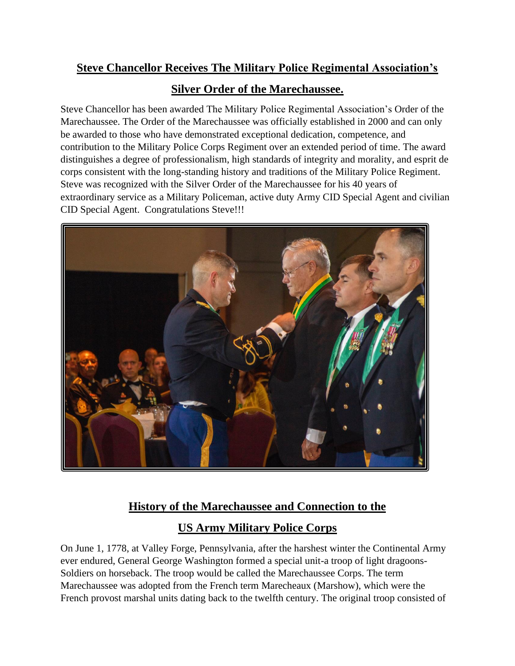## **Steve Chancellor Receives The Military Police Regimental Association's**

## **Silver Order of the Marechaussee.**

Steve Chancellor has been awarded The Military Police Regimental Association's Order of the Marechaussee. The Order of the Marechaussee was officially established in 2000 and can only be awarded to those who have demonstrated exceptional dedication, competence, and contribution to the Military Police Corps Regiment over an extended period of time. The award distinguishes a degree of professionalism, high standards of integrity and morality, and esprit de corps consistent with the long-standing history and traditions of the Military Police Regiment. Steve was recognized with the Silver Order of the Marechaussee for his 40 years of extraordinary service as a Military Policeman, active duty Army CID Special Agent and civilian CID Special Agent. Congratulations Steve!!!



## **History of the Marechaussee and Connection to the**

## **US Army Military Police Corps**

On June 1, 1778, at Valley Forge, Pennsylvania, after the harshest winter the Continental Army ever endured, General George Washington formed a special unit-a troop of light dragoons-Soldiers on horseback. The troop would be called the Marechaussee Corps. The term Marechaussee was adopted from the French term Marecheaux (Marshow), which were the French provost marshal units dating back to the twelfth century. The original troop consisted of